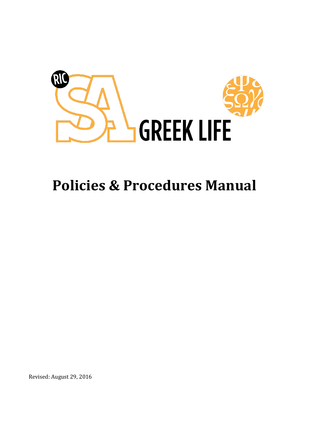

# **Policies & Procedures Manual**

Revised: August 29, 2016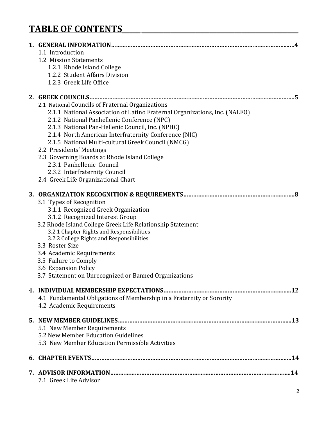# **TABLE OF CONTENTS\_\_\_\_\_ \_\_\_\_\_\_\_\_\_\_\_\_\_\_\_\_\_\_\_\_\_\_\_\_\_\_\_\_\_\_\_\_\_\_\_\_\_\_\_\_\_\_\_\_**

| 1.1 Introduction<br>1.2 Mission Statements<br>1.2.1 Rhode Island College<br>1.2.2 Student Affairs Division<br>1.2.3 Greek Life Office                                                                                                                                                                                                                                                                                                                                                                                             |
|-----------------------------------------------------------------------------------------------------------------------------------------------------------------------------------------------------------------------------------------------------------------------------------------------------------------------------------------------------------------------------------------------------------------------------------------------------------------------------------------------------------------------------------|
| 2.1 National Councils of Fraternal Organizations<br>2.1.1 National Association of Latino Fraternal Organizations, Inc. (NALFO)<br>2.1.2 National Panhellenic Conference (NPC)<br>2.1.3 National Pan-Hellenic Council, Inc. (NPHC)<br>2.1.4 North American Interfraternity Conference (NIC)<br>2.1.5 National Multi-cultural Greek Council (NMCG)<br>2.2 Presidents' Meetings<br>2.3 Governing Boards at Rhode Island College<br>2.3.1 Panhellenic Council<br>2.3.2 Interfraternity Council<br>2.4 Greek Life Organizational Chart |
| 3.1 Types of Recognition<br>3.1.1 Recognized Greek Organization<br>3.1.2 Recognized Interest Group<br>3.2 Rhode Island College Greek Life Relationship Statement<br>3.2.1 Chapter Rights and Responsibilities<br>3.2.2 College Rights and Responsibilities<br>3.3 Roster Size<br>3.4 Academic Requirements<br>3.5 Failure to Comply<br>3.6 Expansion Policy<br>3.7 Statement on Unrecognized or Banned Organizations                                                                                                              |
| 4.1 Fundamental Obligations of Membership in a Fraternity or Sorority<br>4.2 Academic Requirements                                                                                                                                                                                                                                                                                                                                                                                                                                |
| 5.1 New Member Requirements<br>5.2 New Member Education Guidelines<br>5.3 New Member Education Permissible Activities                                                                                                                                                                                                                                                                                                                                                                                                             |
|                                                                                                                                                                                                                                                                                                                                                                                                                                                                                                                                   |
| 7.1 Greek Life Advisor                                                                                                                                                                                                                                                                                                                                                                                                                                                                                                            |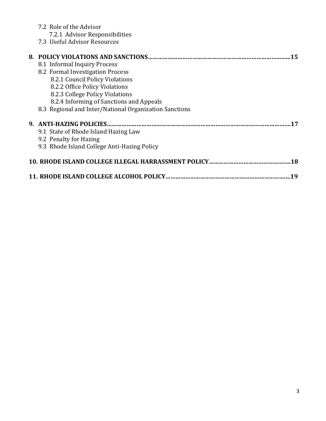|     | 7.2 Role of the Advisor<br>7.2.1 Advisor Responsibilities |  |
|-----|-----------------------------------------------------------|--|
|     | 7.3 Useful Advisor Resources                              |  |
|     | 8. POLICY VIOLATIONS AND SANCTIONS<br>15                  |  |
|     | 8.1 Informal Inquiry Process                              |  |
|     | 8.2 Formal Investigation Process                          |  |
|     | 8.2.1 Council Policy Violations                           |  |
|     | 8.2.2 Office Policy Violations                            |  |
|     | 8.2.3 College Policy Violations                           |  |
|     | 8.2.4 Informing of Sanctions and Appeals                  |  |
|     | 8.3 Regional and Inter/National Organization Sanctions    |  |
|     | 9. ANTI-HAZING POLICIES.                                  |  |
|     | 9.1 State of Rhode Island Hazing Law                      |  |
|     | 9.2 Penalty for Hazing                                    |  |
|     | 9.3 Rhode Island College Anti-Hazing Policy               |  |
| .18 |                                                           |  |
| 19  |                                                           |  |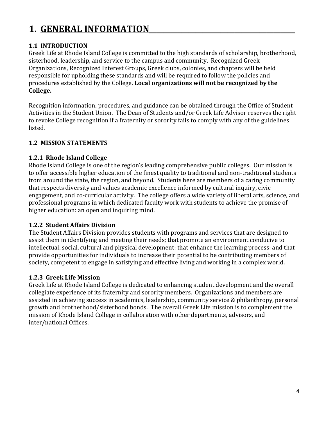# **1. GENERAL INFORMATION**

#### **1.1 INTRODUCTION**

Greek Life at Rhode Island College is committed to the high standards of scholarship, brotherhood, sisterhood, leadership, and service to the campus and community. Recognized Greek Organizations, Recognized Interest Groups, Greek clubs, colonies, and chapters will be held responsible for upholding these standards and will be required to follow the policies and procedures established by the College. **Local organizations will not be recognized by the College.**

Recognition information, procedures, and guidance can be obtained through the Office of Student Activities in the Student Union. The Dean of Students and/or Greek Life Advisor reserves the right to revoke College recognition if a fraternity or sorority fails to comply with any of the guidelines listed.

#### **1.2 MISSION STATEMENTS**

#### **1.2.1 Rhode Island College**

Rhode Island College is one of the region's leading comprehensive public colleges. Our mission is to offer accessible higher education of the finest quality to traditional and non-traditional students from around the state, the region, and beyond. Students here are members of a caring community that respects diversity and values academic excellence informed by cultural inquiry, civic engagement, and co-curricular activity. The college offers a wide variety of liberal arts, science, and professional programs in which dedicated faculty work with students to achieve the promise of higher education: an open and inquiring mind.

#### **1.2.2 Student Affairs Division**

The Student Affairs Division provides students with programs and services that are designed to assist them in identifying and meeting their needs; that promote an environment conducive to intellectual, social, cultural and physical development; that enhance the learning process; and that provide opportunities for individuals to increase their potential to be contributing members of society, competent to engage in satisfying and effective living and working in a complex world.

#### **1.2.3 Greek Life Mission**

Greek Life at Rhode Island College is dedicated to enhancing student development and the overall collegiate experience of its fraternity and sorority members. Organizations and members are assisted in achieving success in academics, leadership, community service & philanthropy, personal growth and brotherhood/sisterhood bonds. The overall Greek Life mission is to complement the mission of Rhode Island College in collaboration with other departments, advisors, and inter/national Offices.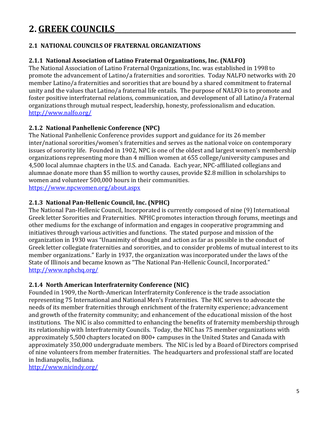### **2. GREEK COUNCILS\_\_\_\_\_\_\_\_\_\_\_\_\_\_\_\_\_\_\_\_\_\_\_\_\_\_\_\_\_\_\_\_\_\_\_\_\_\_\_\_\_\_\_\_\_\_\_\_\_\_\_**

#### **2.1 NATIONAL COUNCILS OF FRATERNAL ORGANIZATIONS**

#### **2.1.1 National Association of Latino Fraternal Organizations, Inc. (NALFO)**

The National Association of Latino Fraternal Organizations, Inc. was established in 1998 to promote the advancement of Latino/a fraternities and sororities. Today NALFO networks with 20 member Latino/a fraternities and sororities that are bound by a shared commitment to fraternal unity and the values that Latino/a fraternal life entails. The purpose of NALFO is to promote and foster positive interfraternal relations, communication, and development of all Latino/a Fraternal organizations through mutual respect, leadership, honesty, professionalism and education. <http://www.nalfo.org/>

#### **2.1.2 National Panhellenic Conference (NPC)**

The National Panhellenic Conference provides support and guidance for its 26 member inter/national sororities/women's fraternities and serves as the national voice on contemporary issues of sorority life. Founded in 1902, NPC is one of the oldest and largest women's membership organizations representing more than 4 million women at 655 college/university campuses and 4,500 local alumnae chapters in the U.S. and Canada. Each year, NPC-affiliated collegians and alumnae donate more than \$5 million to worthy causes, provide \$2.8 million in scholarships to women and volunteer 500,000 hours in their communities. <https://www.npcwomen.org/about.aspx>

#### **2.1.3 National Pan-Hellenic Council, Inc. (NPHC)**

The National Pan-Hellenic Council, Incorporated is currently composed of nine (9) International Greek letter Sororities and Fraternities. NPHC promotes interaction through forums, meetings and other mediums for the exchange of information and engages in cooperative programming and initiatives through various activities and functions. The stated purpose and mission of the organization in 1930 was "Unanimity of thought and action as far as possible in the conduct of Greek letter collegiate fraternities and sororities, and to consider problems of mutual interest to its member organizations." Early in 1937, the organization was incorporated under the laws of the State of Illinois and became known as "The National Pan-Hellenic Council, Incorporated." <http://www.nphchq.org/>

#### **2.1.4 North American Interfraternity Conference (NIC)**

Founded in 1909, the North-American Interfraternity Conference is the trade association representing 75 International and National Men's Fraternities. The NIC serves to advocate the needs of its member fraternities through enrichment of the fraternity experience; advancement and growth of the fraternity community; and enhancement of the educational mission of the host institutions. The NIC is also committed to enhancing the benefits of fraternity membership through its relationship with Interfraternity Councils. Today, the NIC has 75 member organizations with approximately 5,500 chapters located on 800+ campuses in the United States and Canada with approximately 350,000 undergraduate members. The NIC is led by a Board of Directors comprised of nine volunteers from member fraternities. The headquarters and professional staff are located in Indianapolis, Indiana.

<http://www.nicindy.org/>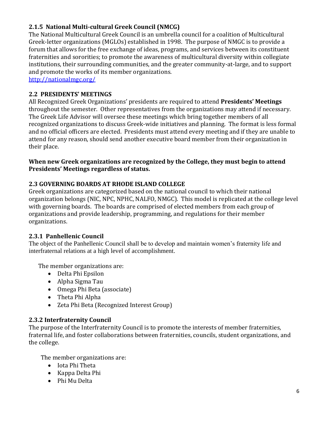#### **2.1.5 National Multi-cultural Greek Council (NMCG)**

The National Multicultural Greek Council is an umbrella council for a coalition of Multicultural Greek-letter organizations (MGLOs) established in 1998. The purpose of NMGC is to provide a forum that allows for the free exchange of ideas, programs, and services between its constituent fraternities and sororities; to promote the awareness of multicultural diversity within collegiate institutions, their surrounding communities, and the greater community-at-large, and to support and promote the works of its member organizations.

<http://nationalmgc.org/>

#### **2.2 PRESIDENTS' MEETINGS**

All Recognized Greek Organizations' presidents are required to attend **Presidents' Meetings** throughout the semester. Other representatives from the organizations may attend if necessary. The Greek Life Advisor will oversee these meetings which bring together members of all recognized organizations to discuss Greek-wide initiatives and planning. The format is less formal and no official officers are elected. Presidents must attend every meeting and if they are unable to attend for any reason, should send another executive board member from their organization in their place.

#### **When new Greek organizations are recognized by the College, they must begin to attend Presidents' Meetings regardless of status.**

#### **2.3 GOVERNING BOARDS AT RHODE ISLAND COLLEGE**

Greek organizations are categorized based on the national council to which their national organization belongs (NIC, NPC, NPHC, NALFO, NMGC). This model is replicated at the college level with governing boards. The boards are comprised of elected members from each group of organizations and provide leadership, programming, and regulations for their member organizations.

#### **2.3.1 Panhellenic Council**

The object of the Panhellenic Council shall be to develop and maintain women's fraternity life and interfraternal relations at a high level of accomplishment.

The member organizations are:

- Delta Phi Epsilon
- Alpha Sigma Tau
- Omega Phi Beta (associate)
- Theta Phi Alpha
- Zeta Phi Beta (Recognized Interest Group)

#### **2.3.2 Interfraternity Council**

The purpose of the Interfraternity Council is to promote the interests of member fraternities, fraternal life, and foster collaborations between fraternities, councils, student organizations, and the college.

The member organizations are:

- Iota Phi Theta
- Kappa Delta Phi
- Phi Mu Delta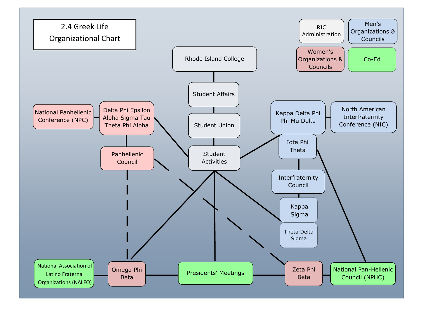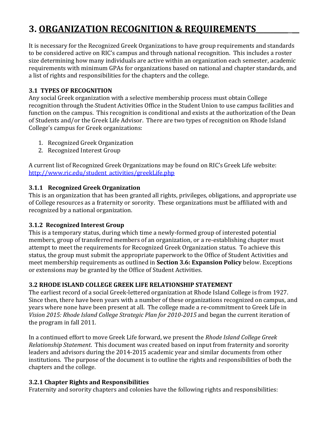# **3. ORGANIZATION RECOGNITION & REQUIREMENTS\_\_\_\_\_\_\_\_\_ \_\_**

It is necessary for the Recognized Greek Organizations to have group requirements and standards to be considered active on RIC's campus and through national recognition. This includes a roster size determining how many individuals are active within an organization each semester, academic requirements with minimum GPAs for organizations based on national and chapter standards, and a list of rights and responsibilities for the chapters and the college.

#### **3.1 TYPES OF RECOGNITION**

Any social Greek organization with a selective membership process must obtain College recognition through the Student Activities Office in the Student Union to use campus facilities and function on the campus. This recognition is conditional and exists at the authorization of the Dean of Students and/or the Greek Life Advisor. There are two types of recognition on Rhode Island College's campus for Greek organizations:

- 1. Recognized Greek Organization
- 2. Recognized Interest Group

A current list of Recognized Greek Organizations may be found on RIC's Greek Life website: [http://www.ric.edu/student\\_activities/greekLife.php](http://www.ric.edu/student_activities/greekLife.php)

#### **3.1.1 Recognized Greek Organization**

This is an organization that has been granted all rights, privileges, obligations, and appropriate use of College resources as a fraternity or sorority. These organizations must be affiliated with and recognized by a national organization.

#### **3.1.2 Recognized Interest Group**

This is a temporary status, during which time a newly-formed group of interested potential members, group of transferred members of an organization, or a re-establishing chapter must attempt to meet the requirements for Recognized Greek Organization status. To achieve this status, the group must submit the appropriate paperwork to the Office of Student Activities and meet membership requirements as outlined in **Section 3.6: Expansion Policy** below. Exceptions or extensions may be granted by the Office of Student Activities.

#### **3.2 RHODE ISLAND COLLEGE GREEK LIFE RELATIONSHIP STATEMENT**

The earliest record of a social Greek-lettered organization at Rhode Island College is from 1927. Since then, there have been years with a number of these organizations recognized on campus, and years where none have been present at all. The college made a re-commitment to Greek Life in *Vision 2015: Rhode Island College Strategic Plan for 2010-2015* and began the current iteration of the program in fall 2011.

In a continued effort to move Greek Life forward, we present the *Rhode Island College Greek Relationship Statement*. This document was created based on input from fraternity and sorority leaders and advisors during the 2014-2015 academic year and similar documents from other institutions. The purpose of the document is to outline the rights and responsibilities of both the chapters and the college.

#### **3.2.1 Chapter Rights and Responsibilities**

Fraternity and sorority chapters and colonies have the following rights and responsibilities: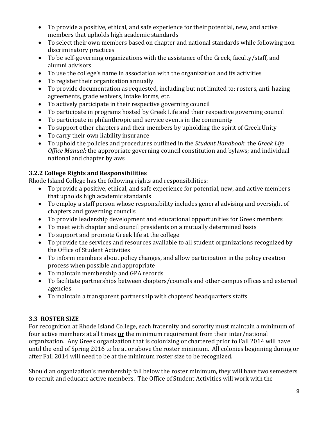- To provide a positive, ethical, and safe experience for their potential, new, and active members that upholds high academic standards
- To select their own members based on chapter and national standards while following nondiscriminatory practices
- To be self-governing organizations with the assistance of the Greek, faculty/staff, and alumni advisors
- To use the college's name in association with the organization and its activities
- To register their organization annually
- To provide documentation as requested, including but not limited to: rosters, anti-hazing agreements, grade waivers, intake forms, etc.
- To actively participate in their respective governing council
- To participate in programs hosted by Greek Life and their respective governing council
- To participate in philanthropic and service events in the community
- To support other chapters and their members by upholding the spirit of Greek Unity
- To carry their own liability insurance
- To uphold the policies and procedures outlined in the *Student Handbook*; the *Greek Life Office Manual*; the appropriate governing council constitution and bylaws; and individual national and chapter bylaws

#### **3.2.2 College Rights and Responsibilities**

Rhode Island College has the following rights and responsibilities:

- To provide a positive, ethical, and safe experience for potential, new, and active members that upholds high academic standards
- To employ a staff person whose responsibility includes general advising and oversight of chapters and governing councils
- To provide leadership development and educational opportunities for Greek members
- To meet with chapter and council presidents on a mutually determined basis
- To support and promote Greek life at the college
- To provide the services and resources available to all student organizations recognized by the Office of Student Activities
- To inform members about policy changes, and allow participation in the policy creation process when possible and appropriate
- To maintain membership and GPA records
- To facilitate partnerships between chapters/councils and other campus offices and external agencies
- To maintain a transparent partnership with chapters' headquarters staffs

#### **3.3 ROSTER SIZE**

For recognition at Rhode Island College, each fraternity and sorority must maintain a minimum of four active members at all times **or** the minimum requirement from their inter/national organization. Any Greek organization that is colonizing or chartered prior to Fall 2014 will have until the end of Spring 2016 to be at or above the roster minimum. All colonies beginning during or after Fall 2014 will need to be at the minimum roster size to be recognized.

Should an organization's membership fall below the roster minimum, they will have two semesters to recruit and educate active members. The Office of Student Activities will work with the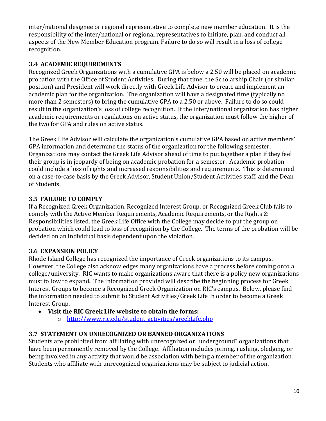inter/national designee or regional representative to complete new member education. It is the responsibility of the inter/national or regional representatives to initiate, plan, and conduct all aspects of the New Member Education program. Failure to do so will result in a loss of college recognition.

#### **3.4 ACADEMIC REQUIREMENTS**

Recognized Greek Organizations with a cumulative GPA is below a 2.50 will be placed on academic probation with the Office of Student Activities. During that time, the Scholarship Chair (or similar position) and President will work directly with Greek Life Advisor to create and implement an academic plan for the organization. The organization will have a designated time (typically no more than 2 semesters) to bring the cumulative GPA to a 2.50 or above. Failure to do so could result in the organization's loss of college recognition. If the inter/national organization has higher academic requirements or regulations on active status, the organization must follow the higher of the two for GPA and rules on active status.

The Greek Life Advisor will calculate the organization's cumulative GPA based on active members' GPA information and determine the status of the organization for the following semester. Organizations may contact the Greek Life Advisor ahead of time to put together a plan if they feel their group is in jeopardy of being on academic probation for a semester. Academic probation could include a loss of rights and increased responsibilities and requirements. This is determined on a case-to-case basis by the Greek Advisor, Student Union/Student Activities staff, and the Dean of Students.

#### **3.5 FAILURE TO COMPLY**

If a Recognized Greek Organization, Recognized Interest Group, or Recognized Greek Club fails to comply with the Active Member Requirements, Academic Requirements, or the Rights & Responsibilities listed, the Greek Life Office with the College may decide to put the group on probation which could lead to loss of recognition by the College. The terms of the probation will be decided on an individual basis dependent upon the violation.

#### **3.6 EXPANSION POLICY**

Rhode Island College has recognized the importance of Greek organizations to its campus. However, the College also acknowledges many organizations have a process before coming onto a college/university. RIC wants to make organizations aware that there is a policy new organizations must follow to expand. The information provided will describe the beginning process for Greek Interest Groups to become a Recognized Greek Organization on RIC's campus. Below, please find the information needed to submit to Student Activities/Greek Life in order to become a Greek Interest Group.

- **Visit the RIC Greek Life website to obtain the forms:**
	- o [http://www.ric.edu/student\\_activities/greekLife.php](http://www.ric.edu/student_activities/greekLife.php)

#### **3.7 STATEMENT ON UNRECOGNIZED OR BANNED ORGANIZATIONS**

Students are prohibited from affiliating with unrecognized or "underground" organizations that have been permanently removed by the College. Affiliation includes joining, rushing, pledging, or being involved in any activity that would be association with being a member of the organization. Students who affiliate with unrecognized organizations may be subject to judicial action.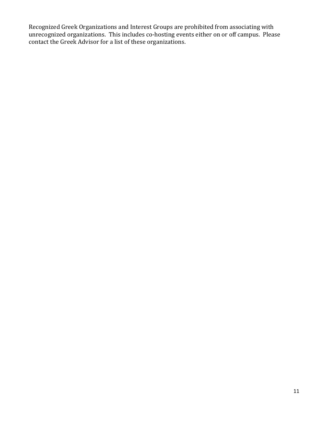Recognized Greek Organizations and Interest Groups are prohibited from associating with unrecognized organizations. This includes co-hosting events either on or off campus. Please contact the Greek Advisor for a list of these organizations.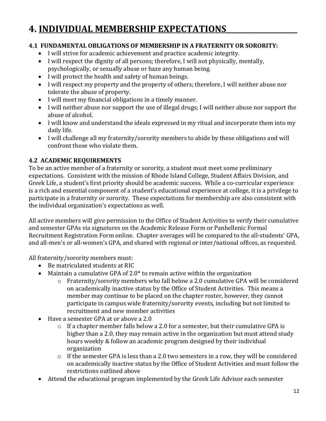## **4. INDIVIDUAL MEMBERSHIP EXPECTATIONS\_\_\_\_\_\_\_\_\_\_\_\_\_\_\_\_\_\_\_\_**

#### **4.1 FUNDAMENTAL OBLIGATIONS OF MEMBERSHIP IN A FRATERNITY OR SORORITY:**

- I will strive for academic achievement and practice academic integrity.
- I will respect the dignity of all persons; therefore, I will not physically, mentally, psychologically, or sexually abuse or haze any human being.
- I will protect the health and safety of human beings.
- I will respect my property and the property of others; therefore, I will neither abuse nor tolerate the abuse of property.
- I will meet my financial obligations in a timely manner.
- I will neither abuse nor support the use of illegal drugs; I will neither abuse nor support the abuse of alcohol.
- I will know and understand the ideals expressed in my ritual and incorporate them into my daily life.
- I will challenge all my fraternity/sorority members to abide by these obligations and will confront those who violate them.

#### **4.2 ACADEMIC REQUIREMENTS**

To be an active member of a fraternity or sorority, a student must meet some preliminary expectations. Consistent with the mission of Rhode Island College, Student Affairs Division, and Greek Life, a student's first priority should be academic success. While a co-curricular experience is a rich and essential component of a student's educational experience at college, it is a privilege to participate in a fraternity or sorority. These expectations for membership are also consistent with the individual organization's expectations as well.

All active members will give permission to the Office of Student Activities to verify their cumulative and semester GPAs via signatures on the Academic Release Form or Panhellenic Formal Recruitment Registration Form online. Chapter averages will be compared to the all-students' GPA, and all-men's or all-women's GPA, and shared with regional or inter/national offices, as requested.

All fraternity/sorority members must:

- Be matriculated students at RIC
- Maintain a cumulative GPA of  $2.0*$  to remain active within the organization
	- o Fraternity/sorority members who fall below a 2.0 cumulative GPA will be considered on academically inactive status by the Office of Student Activities. This means a member may continue to be placed on the chapter roster, however, they cannot participate in campus wide fraternity/sorority events, including but not limited to recruitment and new member activities
- Have a semester GPA at or above a 2.0
	- o If a chapter member falls below a 2.0 for a semester, but their cumulative GPA is higher than a 2.0, they may remain active in the organization but must attend study hours weekly & follow an academic program designed by their individual organization
	- $\circ$  If the semester GPA is less than a 2.0 two semesters in a row, they will be considered on academically inactive status by the Office of Student Activities and must follow the restrictions outlined above
- Attend the educational program implemented by the Greek Life Advisor each semester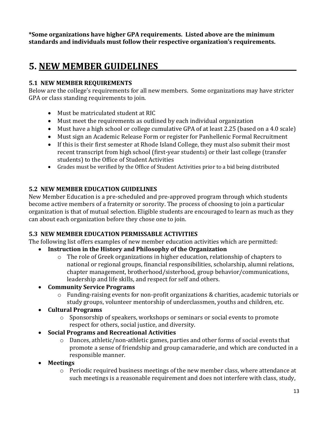**\*Some organizations have higher GPA requirements. Listed above are the minimum standards and individuals must follow their respective organization's requirements.** 

### **5. NEW MEMBER GUIDELINES\_\_\_\_\_\_\_\_\_\_\_\_\_\_\_\_\_\_\_\_\_\_\_\_\_\_\_\_\_\_\_\_\_\_\_\_\_\_\_**

#### **5.1 NEW MEMBER REQUIREMENTS**

Below are the college's requirements for all new members. Some organizations may have stricter GPA or class standing requirements to join.

- Must be matriculated student at RIC
- Must meet the requirements as outlined by each individual organization
- Must have a high school or college cumulative GPA of at least 2.25 (based on a 4.0 scale)
- Must sign an Academic Release Form or register for Panhellenic Formal Recruitment
- If this is their first semester at Rhode Island College, they must also submit their most recent transcript from high school (first-year students) or their last college (transfer students) to the Office of Student Activities
- Grades must be verified by the Office of Student Activities prior to a bid being distributed

#### **5.2 NEW MEMBER EDUCATION GUIDELINES**

New Member Education is a pre-scheduled and pre-approved program through which students become active members of a fraternity or sorority. The process of choosing to join a particular organization is that of mutual selection. Eligible students are encouraged to learn as much as they can about each organization before they chose one to join.

#### **5.3 NEW MEMBER EDUCATION PERMISSABLE ACTIVITIES**

The following list offers examples of new member education activities which are permitted:

- **Instruction in the History and Philosophy of the Organization**
	- o The role of Greek organizations in higher education, relationship of chapters to national or regional groups, financial responsibilities, scholarship, alumni relations, chapter management, brotherhood/sisterhood, group behavior/communications, leadership and life skills, and respect for self and others.
- **Community Service Programs**
	- $\circ$  Funding-raising events for non-profit organizations & charities, academic tutorials or study groups, volunteer mentorship of underclassmen, youths and children, etc.
- **Cultural Programs**
	- o Sponsorship of speakers, workshops or seminars or social events to promote respect for others, social justice, and diversity.
- **Social Programs and Recreational Activities**
	- o Dances, athletic/non-athletic games, parties and other forms of social events that promote a sense of friendship and group camaraderie, and which are conducted in a responsible manner.
- **Meetings**
	- o Periodic required business meetings of the new member class, where attendance at such meetings is a reasonable requirement and does not interfere with class, study,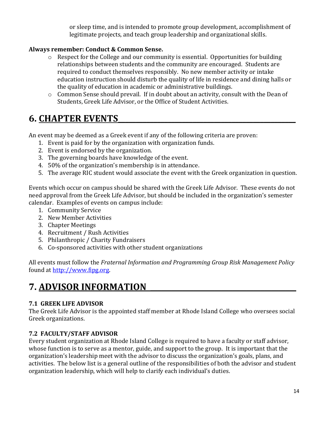or sleep time, and is intended to promote group development, accomplishment of legitimate projects, and teach group leadership and organizational skills.

#### **Always remember: Conduct & Common Sense.**

- o Respect for the College and our community is essential. Opportunities for building relationships between students and the community are encouraged. Students are required to conduct themselves responsibly. No new member activity or intake education instruction should disturb the quality of life in residence and dining halls or the quality of education in academic or administrative buildings.
- o Common Sense should prevail. If in doubt about an activity, consult with the Dean of Students, Greek Life Advisor, or the Office of Student Activities.

### **6. CHAPTER EVENTS\_\_\_\_\_\_\_\_\_\_\_\_\_\_\_\_\_\_\_\_\_\_\_\_\_\_\_\_\_\_\_\_\_\_\_\_\_\_\_\_\_\_\_\_\_\_\_\_\_\_**

An event may be deemed as a Greek event if any of the following criteria are proven:

- 1. Event is paid for by the organization with organization funds.
- 2. Event is endorsed by the organization.
- 3. The governing boards have knowledge of the event.
- 4. 50% of the organization's membership is in attendance.
- 5. The average RIC student would associate the event with the Greek organization in question.

Events which occur on campus should be shared with the Greek Life Advisor. These events do not need approval from the Greek Life Advisor, but should be included in the organization's semester calendar. Examples of events on campus include:

- 1. Community Service
- 2. New Member Activities
- 3. Chapter Meetings
- 4. Recruitment / Rush Activities
- 5. Philanthropic / Charity Fundraisers
- 6. Co-sponsored activities with other student organizations

All events must follow the *Fraternal Information and Programming Group Risk Management Policy* found at [http://www.fipg.org.](http://www.fipg.org/)

### **7. ADVISOR INFORMATION**

#### **7.1 GREEK LIFE ADVISOR**

The Greek Life Advisor is the appointed staff member at Rhode Island College who oversees social Greek organizations.

#### **7.2 FACULTY/STAFF ADVISOR**

Every student organization at Rhode Island College is required to have a faculty or staff advisor, whose function is to serve as a mentor, guide, and support to the group. It is important that the organization's leadership meet with the advisor to discuss the organization's goals, plans, and activities. The below list is a general outline of the responsibilities of both the advisor and student organization leadership, which will help to clarify each individual's duties.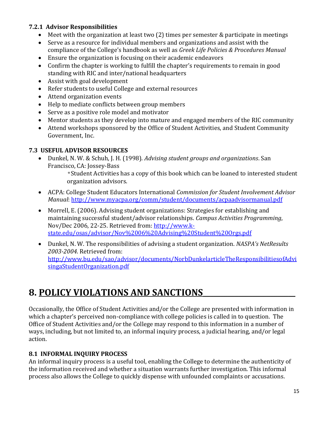#### **7.2.1 Advisor Responsibilities**

- Meet with the organization at least two (2) times per semester & participate in meetings
- Serve as a resource for individual members and organizations and assist with the compliance of the College's handbook as well as *Greek Life Policies & Procedures Manual*
- Ensure the organization is focusing on their academic endeavors
- Confirm the chapter is working to fulfill the chapter's requirements to remain in good standing with RIC and inter/national headquarters
- Assist with goal development
- Refer students to useful College and external resources
- Attend organization events
- Help to mediate conflicts between group members
- Serve as a positive role model and motivator
- Mentor students as they develop into mature and engaged members of the RIC community
- Attend workshops sponsored by the Office of Student Activities, and Student Community Government, Inc.

#### **7.3 USEFUL ADVISOR RESOURCES**

- Dunkel, N. W. & Schuh, J. H. (1998). *Advising student groups and organizations*. San Francisco, CA: Jossey-Bass
	- \*Student Activities has a copy of this book which can be loaned to interested student organization advisors.
- ACPA: College Student Educators International *Commission for Student Involvement Advisor Manual*:<http://www.myacpa.org/comm/student/documents/acpaadvisormanual.pdf>
- Morrell, E. (2006). Advising student organizations: Strategies for establishing and maintaining successful student/advisor relationships. *Campus Activities Programming*, Nov/Dec 2006, 22-25. Retrieved from: [http://www.k](http://www.k-state.edu/osas/advisor/Nov%2006%20Advising%20Student%20Orgs.pdf)[state.edu/osas/advisor/Nov%2006%20Advising%20Student%20Orgs.pdf](http://www.k-state.edu/osas/advisor/Nov%2006%20Advising%20Student%20Orgs.pdf)
- Dunkel, N. W. The responsibilities of advising a student organization. *NASPA's NetResults 2003-2004*. Retrieved from: [http://www.bu.edu/sao/advisor/documents/NorbDunkelarticleTheResponsibilitiesofAdvi](http://www.bu.edu/sao/advisor/documents/NorbDunkelarticleTheResponsibilitiesofAdvisingaStudentOrganization.pdf) [singaStudentOrganization.pdf](http://www.bu.edu/sao/advisor/documents/NorbDunkelarticleTheResponsibilitiesofAdvisingaStudentOrganization.pdf)

### **8. POLICY VIOLATIONS AND SANCTIONS**

Occasionally, the Office of Student Activities and/or the College are presented with information in which a chapter's perceived non-compliance with college policies is called in to question. The Office of Student Activities and/or the College may respond to this information in a number of ways, including, but not limited to, an informal inquiry process, a judicial hearing, and/or legal action.

#### **8.1 INFORMAL INQUIRY PROCESS**

An informal inquiry process is a useful tool, enabling the College to determine the authenticity of the information received and whether a situation warrants further investigation. This informal process also allows the College to quickly dispense with unfounded complaints or accusations.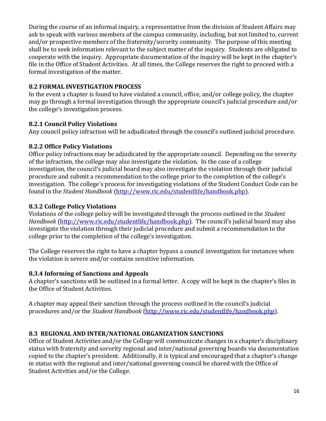During the course of an informal inquiry, a representative from the division of Student Affairs may ask to speak with various members of the campus community, including, but not limited to, current and/or prospective members of the fraternity/sorority community. The purpose of this meeting shall be to seek information relevant to the subject matter of the inquiry. Students are obligated to cooperate with the inquiry. Appropriate documentation of the inquiry will be kept in the chapter's file in the Office of Student Activities. At all times, the College reserves the right to proceed with a formal investigation of the matter.

#### **8.2 FORMAL INVESTIGATION PROCESS**

In the event a chapter is found to have violated a council, office, and/or college policy, the chapter may go through a formal investigation through the appropriate council's judicial procedure and/or the college's investigation process.

#### **8.2.1 Council Policy Violations**

Any council policy infraction will be adjudicated through the council's outlined judicial procedure.

#### **8.2.2 Office Policy Violations**

Office policy infractions may be adjudicated by the appropriate council. Depending on the severity of the infraction, the college may also investigate the violation. In the case of a college investigation, the council's judicial board may also investigate the violation through their judicial procedure and submit a recommendation to the college prior to the completion of the college's investigation. The college's process for investigating violations of the Student Conduct Code can be found in the *Student Handbook* [\(http://www.ric.edu/studentlife/handbook.php\)](http://www.ric.edu/studentlife/handbook.php).

#### **8.3.2 College Policy Violations**

Violations of the college policy will be investigated through the process outlined in the *Student Handbook* [\(http://www.ric.edu/studentlife/handbook.php](http://www.ric.edu/studentlife/handbook.php)). The council's judicial board may also investigate the violation through their judicial procedure and submit a recommendation to the college prior to the completion of the college's investigation.

The College reserves the right to have a chapter bypass a council investigation for instances when the violation is severe and/or contains sensitive information.

#### **8.3.4 Informing of Sanctions and Appeals**

A chapter's sanctions will be outlined in a formal letter. A copy will be kept in the chapter's files in the Office of Student Activities.

A chapter may appeal their sanction through the process outlined in the council's judicial procedures and/or the *Student Handbook* [\(http://www.ric.edu/studentlife/handbook.php\)](http://www.ric.edu/studentlife/handbook.php).

#### **8.3 REGIONAL AND INTER/NATIONAL ORGANIZATION SANCTIONS**

Office of Student Activities and/or the College will communicate changes in a chapter's disciplinary status with fraternity and sorority regional and inter/national governing boards via documentation copied to the chapter's president. Additionally, it is typical and encouraged that a chapter's change in status with the regional and inter/national governing council be shared with the Office of Student Activities and/or the College.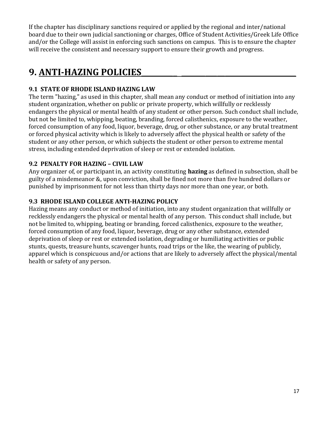If the chapter has disciplinary sanctions required or applied by the regional and inter/national board due to their own judicial sanctioning or charges, Office of Student Activities/Greek Life Office and/or the College will assist in enforcing such sanctions on campus. This is to ensure the chapter will receive the consistent and necessary support to ensure their growth and progress.

### **9. ANTI-HAZING POLICIES\_\_\_\_\_\_\_\_\_ \_\_\_\_\_\_\_\_\_\_\_\_\_\_\_\_\_\_\_\_\_\_\_\_\_\_\_\_\_**

#### **9.1 STATE OF RHODE ISLAND HAZING LAW**

The term "hazing," as used in this chapter, shall mean any conduct or method of initiation into any student organization, whether on public or private property, which willfully or recklessly endangers the physical or mental health of any student or other person. Such conduct shall include, but not be limited to, whipping, beating, branding, forced calisthenics, exposure to the weather, forced consumption of any food, liquor, beverage, drug, or other substance, or any brutal treatment or forced physical activity which is likely to adversely affect the physical health or safety of the student or any other person, or which subjects the student or other person to extreme mental stress, including extended deprivation of sleep or rest or extended isolation.

#### **9.2 PENALTY FOR HAZING – CIVIL LAW**

Any organizer of, or participant in, an activity constituting **hazing** as defined in subsection, shall be guilty of a misdemeanor &, upon conviction, shall be fined not more than five hundred dollars or punished by imprisonment for not less than thirty days nor more than one year, or both.

#### **9.3 RHODE ISLAND COLLEGE ANTI-HAZING POLICY**

Hazing means any conduct or method of initiation, into any student organization that willfully or recklessly endangers the physical or mental health of any person. This conduct shall include, but not be limited to, whipping, beating or branding, forced calisthenics, exposure to the weather, forced consumption of any food, liquor, beverage, drug or any other substance, extended deprivation of sleep or rest or extended isolation, degrading or humiliating activities or public stunts, quests, treasure hunts, scavenger hunts, road trips or the like, the wearing of publicly, apparel which is conspicuous and/or actions that are likely to adversely affect the physical/mental health or safety of any person.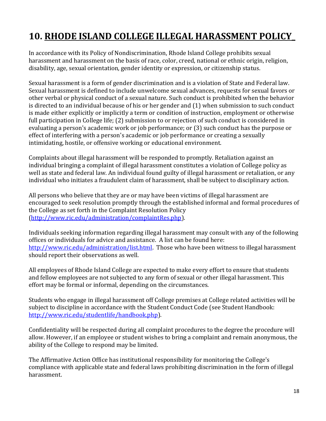# **10. RHODE ISLAND COLLEGE ILLEGAL HARASSMENT POLICY\_**

In accordance with its Policy of Nondiscrimination, Rhode Island College prohibits sexual harassment and harassment on the basis of race, color, creed, national or ethnic origin, religion, disability, age, sexual orientation, gender identity or expression, or citizenship status.

Sexual harassment is a form of gender discrimination and is a violation of State and Federal law. Sexual harassment is defined to include unwelcome sexual advances, requests for sexual favors or other verbal or physical conduct of a sexual nature. Such conduct is prohibited when the behavior is directed to an individual because of his or her gender and (1) when submission to such conduct is made either explicitly or implicitly a term or condition of instruction, employment or otherwise full participation in College life; (2) submission to or rejection of such conduct is considered in evaluating a person's academic work or job performance; or (3) such conduct has the purpose or effect of interfering with a person's academic or job performance or creating a sexually intimidating, hostile, or offensive working or educational environment.

Complaints about illegal harassment will be responded to promptly. Retaliation against an individual bringing a complaint of illegal harassment constitutes a violation of College policy as well as state and federal law. An individual found guilty of illegal harassment or retaliation, or any individual who initiates a fraudulent claim of harassment, shall be subject to disciplinary action.

All persons who believe that they are or may have been victims of illegal harassment are encouraged to seek resolution promptly through the established informal and formal procedures of the College as set forth in the Complaint Resolution Policy (http://www.ric.edu/administration/complaintRes.php).

Individuals seeking information regarding illegal harassment may consult with any of the following offices or individuals for advice and assistance. A list can be found here: [http://www.ric.edu/administration/list.html.](http://www.ric.edu/administration/list.html) Those who have been witness to illegal harassment should report their observations as well.

All employees of Rhode Island College are expected to make every effort to ensure that students and fellow employees are not subjected to any form of sexual or other illegal harassment. This effort may be formal or informal, depending on the circumstances.

Students who engage in illegal harassment off College premises at College related activities will be subject to discipline in accordance with the Student Conduct Code (see Student Handbook: [http://www.ric.edu/studentlife/handbook.php\)](http://www.ric.edu/studentlife/handbook.php).

Confidentiality will be respected during all complaint procedures to the degree the procedure will allow. However, if an employee or student wishes to bring a complaint and remain anonymous, the ability of the College to respond may be limited.

The Affirmative Action Office has institutional responsibility for monitoring the College's compliance with applicable state and federal laws prohibiting discrimination in the form of illegal harassment.